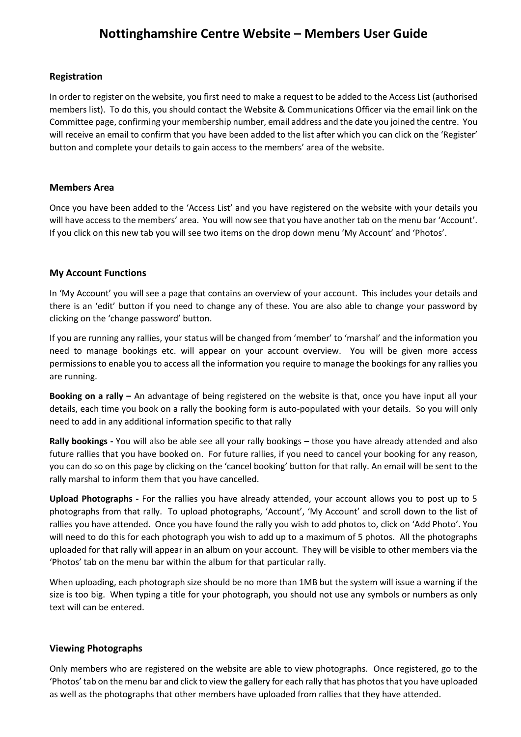# **Nottinghamshire Centre Website – Members User Guide**

#### **Registration**

In order to register on the website, you first need to make a request to be added to the Access List (authorised members list). To do this, you should contact the Website & Communications Officer via the email link on the Committee page, confirming your membership number, email address and the date you joined the centre. You will receive an email to confirm that you have been added to the list after which you can click on the 'Register' button and complete your details to gain access to the members' area of the website.

## **Members Area**

Once you have been added to the 'Access List' and you have registered on the website with your details you will have access to the members' area. You will now see that you have another tab on the menu bar 'Account'. If you click on this new tab you will see two items on the drop down menu 'My Account' and 'Photos'.

## **My Account Functions**

In 'My Account' you will see a page that contains an overview of your account. This includes your details and there is an 'edit' button if you need to change any of these. You are also able to change your password by clicking on the 'change password' button.

If you are running any rallies, your status will be changed from 'member' to 'marshal' and the information you need to manage bookings etc. will appear on your account overview. You will be given more access permissions to enable you to access all the information you require to manage the bookings for any rallies you are running.

**Booking on a rally –** An advantage of being registered on the website is that, once you have input all your details, each time you book on a rally the booking form is auto-populated with your details. So you will only need to add in any additional information specific to that rally

**Rally bookings -** You will also be able see all your rally bookings – those you have already attended and also future rallies that you have booked on. For future rallies, if you need to cancel your booking for any reason, you can do so on this page by clicking on the 'cancel booking' button for that rally. An email will be sent to the rally marshal to inform them that you have cancelled.

**Upload Photographs -** For the rallies you have already attended, your account allows you to post up to 5 photographs from that rally. To upload photographs, 'Account', 'My Account' and scroll down to the list of rallies you have attended. Once you have found the rally you wish to add photos to, click on 'Add Photo'. You will need to do this for each photograph you wish to add up to a maximum of 5 photos. All the photographs uploaded for that rally will appear in an album on your account. They will be visible to other members via the 'Photos' tab on the menu bar within the album for that particular rally.

When uploading, each photograph size should be no more than 1MB but the system will issue a warning if the size is too big. When typing a title for your photograph, you should not use any symbols or numbers as only text will can be entered.

#### **Viewing Photographs**

Only members who are registered on the website are able to view photographs. Once registered, go to the 'Photos' tab on the menu bar and click to view the gallery for each rally that has photos that you have uploaded as well as the photographs that other members have uploaded from rallies that they have attended.